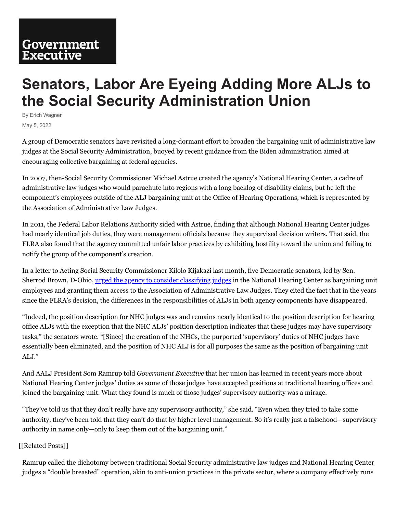## **Senators, Labor Are Eyeing Adding More ALJs to the Social Security Administration Union**

By Erich Wagner May 5, 2022

A group of Democratic senators have revisited a long-dormant effort to broaden the bargaining unit of administrative law judges at the Social Security Administration, buoyed by recent guidance from the Biden administration aimed at encouraging collective bargaining at federal agencies.

In 2007, then-Social Security Commissioner Michael Astrue created the agency's National Hearing Center, a cadre of administrative law judges who would parachute into regions with a long backlog of disability claims, but he left the component's employees outside of the ALJ bargaining unit at the Office of Hearing Operations, which is represented by the Association of Administrative Law Judges.

In 2011, the Federal Labor Relations Authority sided with Astrue, finding that although National Hearing Center judges had nearly identical job duties, they were management officials because they supervised decision writers. That said, the FLRA also found that the agency committed unfair labor practices by exhibiting hostility toward the union and failing to notify the group of the component's creation.

In a letter to Acting Social Security Commissioner Kilolo Kijakazi last month, five Democratic senators, led by Sen. Sherrod Brown, D-Ohio, urged [the agency](http://cdn.govexec.com/media/gbc/docs/pdfs_edit/050522ew1.pdf) to consider classifying judges in the National Hearing Center as bargaining unit employees and granting them access to the Association of Administrative Law Judges. They cited the fact that in the years since the FLRA's decision, the differences in the responsibilities of ALJs in both agency components have disappeared.

"Indeed, the position description for NHC judges was and remains nearly identical to the position description for hearing office ALJs with the exception that the NHC ALJs' position description indicates that these judges may have supervisory tasks," the senators wrote. "[Since] the creation of the NHCs, the purported 'supervisory' duties of NHC judges have essentially been eliminated, and the position of NHC ALJ is for all purposes the same as the position of bargaining unit ALJ."

And AALJ President Som Ramrup told *Government Executive* that her union has learned in recent years more about National Hearing Center judges' duties as some of those judges have accepted positions at traditional hearing offices and joined the bargaining unit. What they found is much of those judges' supervisory authority was a mirage.

"They've told us that they don't really have any supervisory authority," she said. "Even when they tried to take some authority, they've been told that they can't do that by higher level management. So it's really just a falsehood—supervisory authority in name only—only to keep them out of the bargaining unit."

## [[Related Posts]]

Ramrup called the dichotomy between traditional Social Security administrative law judges and National Hearing Center judges a "double breasted" operation, akin to anti-union practices in the private sector, where a company effectively runs